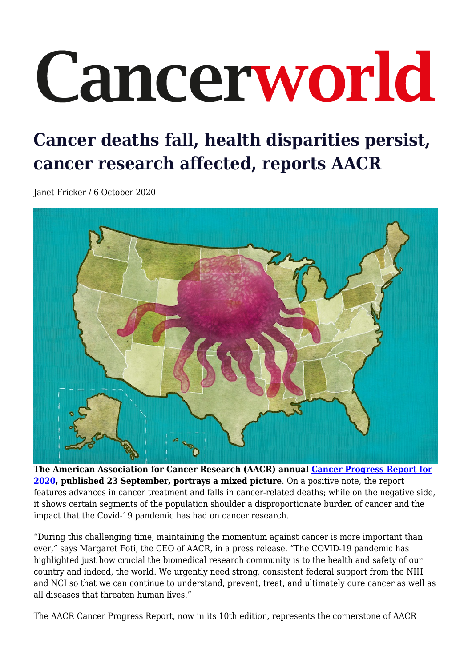## Cancerworld

## **Cancer deaths fall, health disparities persist, cancer research affected, reports AACR**

Janet Fricker / 6 October 2020



**The American Association for Cancer Research (AACR) annual [Cancer Progress Report for](https://cancerprogressreport.aacr.org/wp-content/uploads/sites/2/2020/09/AACR_CDPR_2020.pdf) [2020](https://cancerprogressreport.aacr.org/wp-content/uploads/sites/2/2020/09/AACR_CDPR_2020.pdf), published 23 September, portrays a mixed picture**. On a positive note, the report features advances in cancer treatment and falls in cancer-related deaths; while on the negative side, it shows certain segments of the population shoulder a disproportionate burden of cancer and the impact that the Covid-19 pandemic has had on cancer research.

"During this challenging time, maintaining the momentum against cancer is more important than ever," says Margaret Foti, the CEO of AACR, in a press release. "The COVID-19 pandemic has highlighted just how crucial the biomedical research community is to the health and safety of our country and indeed, the world. We urgently need strong, consistent federal support from the NIH and NCI so that we can continue to understand, prevent, treat, and ultimately cure cancer as well as all diseases that threaten human lives."

The AACR Cancer Progress Report, now in its 10th edition, represents the cornerstone of AACR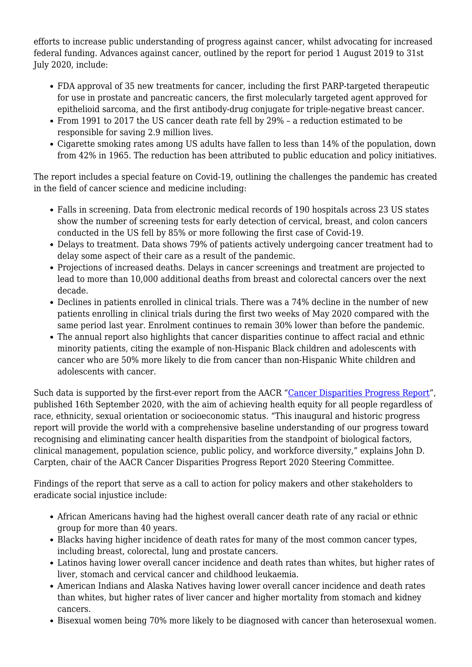efforts to increase public understanding of progress against cancer, whilst advocating for increased federal funding. Advances against cancer, outlined by the report for period 1 August 2019 to 31st July 2020, include:

- FDA approval of 35 new treatments for cancer, including the first PARP-targeted therapeutic for use in prostate and pancreatic cancers, the first molecularly targeted agent approved for epithelioid sarcoma, and the first antibody-drug conjugate for triple-negative breast cancer.
- From 1991 to 2017 the US cancer death rate fell by 29% a reduction estimated to be responsible for saving 2.9 million lives.
- Cigarette smoking rates among US adults have fallen to less than 14% of the population, down from 42% in 1965. The reduction has been attributed to public education and policy initiatives.

The report includes a special feature on Covid-19, outlining the challenges the pandemic has created in the field of cancer science and medicine including:

- Falls in screening. Data from electronic medical records of 190 hospitals across 23 US states show the number of screening tests for early detection of cervical, breast, and colon cancers conducted in the US fell by 85% or more following the first case of Covid-19.
- Delays to treatment. Data shows 79% of patients actively undergoing cancer treatment had to delay some aspect of their care as a result of the pandemic.
- Projections of increased deaths. Delays in cancer screenings and treatment are projected to lead to more than 10,000 additional deaths from breast and colorectal cancers over the next decade.
- Declines in patients enrolled in clinical trials. There was a 74% decline in the number of new patients enrolling in clinical trials during the first two weeks of May 2020 compared with the same period last year. Enrolment continues to remain 30% lower than before the pandemic.
- The annual report also highlights that cancer disparities continue to affect racial and ethnic minority patients, citing the example of non-Hispanic Black children and adolescents with cancer who are 50% more likely to die from cancer than non-Hispanic White children and adolescents with cancer.

Such data is supported by the first-ever report from the AACR "[Cancer Disparities Progress Report"](https://cancerprogressreport.aacr.org/disparities/), published 16th September 2020, with the aim of achieving health equity for all people regardless of race, ethnicity, sexual orientation or socioeconomic status. "This inaugural and historic progress report will provide the world with a comprehensive baseline understanding of our progress toward recognising and eliminating cancer health disparities from the standpoint of biological factors, clinical management, population science, public policy, and workforce diversity," explains John D. Carpten, chair of the AACR Cancer Disparities Progress Report 2020 Steering Committee.

Findings of the report that serve as a call to action for policy makers and other stakeholders to eradicate social injustice include:

- African Americans having had the highest overall cancer death rate of any racial or ethnic group for more than 40 years.
- Blacks having higher incidence of death rates for many of the most common cancer types, including breast, colorectal, lung and prostate cancers.
- Latinos having lower overall cancer incidence and death rates than whites, but higher rates of liver, stomach and cervical cancer and childhood leukaemia.
- American Indians and Alaska Natives having lower overall cancer incidence and death rates than whites, but higher rates of liver cancer and higher mortality from stomach and kidney cancers.
- Bisexual women being 70% more likely to be diagnosed with cancer than heterosexual women.